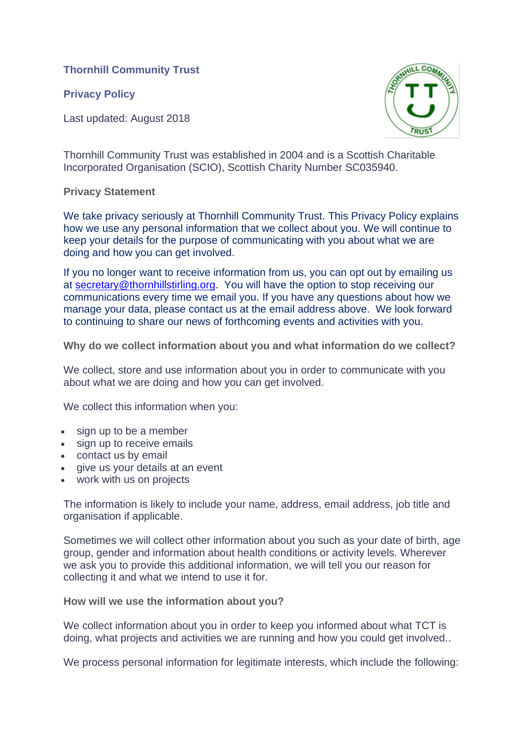**Thornhill Community Trust**

**Privacy Policy**

Last updated: August 2018



Thornhill Community Trust was established in 2004 and is a Scottish Charitable Incorporated Organisation (SCIO), Scottish Charity Number SC035940.

## **Privacy Statement**

We take privacy seriously at Thornhill Community Trust. This Privacy Policy explains how we use any personal information that we collect about you. We will continue to keep your details for the purpose of communicating with you about what we are doing and how you can get involved.

If you no longer want to receive information from us, you can opt out by emailing us at [secretary@thornhillstirling.org.](secretary@thornhillstirling.org) You will have the option to stop receiving our communications every time we email you. If you have any questions about how we manage your data, please contact us at the email address above. We look forward to continuing to share our news of forthcoming events and activities with you.

**Why do we collect information about you and what information do we collect?**

We collect, store and use information about you in order to communicate with you about what we are doing and how you can get involved.

We collect this information when you:

- sign up to be a member
- sign up to receive emails
- contact us by email
- give us your details at an event
- work with us on projects

The information is likely to include your name, address, email address, job title and organisation if applicable.

Sometimes we will collect other information about you such as your date of birth, age group, gender and information about health conditions or activity levels. Wherever we ask you to provide this additional information, we will tell you our reason for collecting it and what we intend to use it for.

**How will we use the information about you?**

We collect information about you in order to keep you informed about what TCT is doing, what projects and activities we are running and how you could get involved..

We process personal information for legitimate interests, which include the following: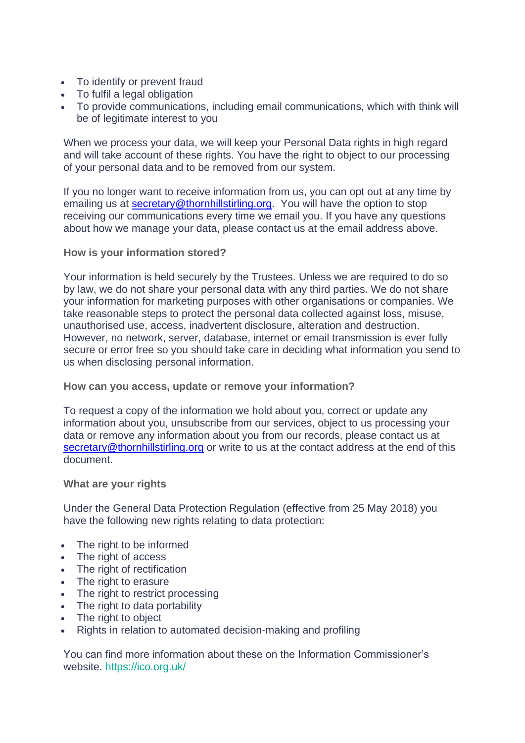- To identify or prevent fraud
- To fulfil a legal obligation
- To provide communications, including email communications, which with think will be of legitimate interest to you

When we process your data, we will keep your Personal Data rights in high regard and will take account of these rights. You have the right to object to our processing of your personal data and to be removed from our system.

If you no longer want to receive information from us, you can opt out at any time by emailing us at **secretary@thornhillstirling.org**. You will have the option to stop receiving our communications every time we email you. If you have any questions about how we manage your data, please contact us at the email address above.

## **How is your information stored?**

Your information is held securely by the Trustees. Unless we are required to do so by law, we do not share your personal data with any third parties. We do not share your information for marketing purposes with other organisations or companies. We take reasonable steps to protect the personal data collected against loss, misuse, unauthorised use, access, inadvertent disclosure, alteration and destruction. However, no network, server, database, internet or email transmission is ever fully secure or error free so you should take care in deciding what information you send to us when disclosing personal information.

## **How can you access, update or remove your information?**

To request a copy of the information we hold about you, correct or update any information about you, unsubscribe from our services, object to us processing your data or remove any information about you from our records, please contact us at [secretary@thornhillstirling.org](file:///D:/TCT/TCT%20documents/secretary@thornhillstirling.org) or write to us at the contact address at the end of this document.

## **What are your rights**

Under the General Data Protection Regulation (effective from 25 May 2018) you have the following new rights relating to data protection:

- The right to be informed
- The right of access
- The right of rectification
- The right to erasure
- The right to restrict processing
- The right to data portability
- The right to object
- Rights in relation to automated decision-making and profiling

You can find more information about these on the Information Commissioner's website.<https://ico.org.uk/>